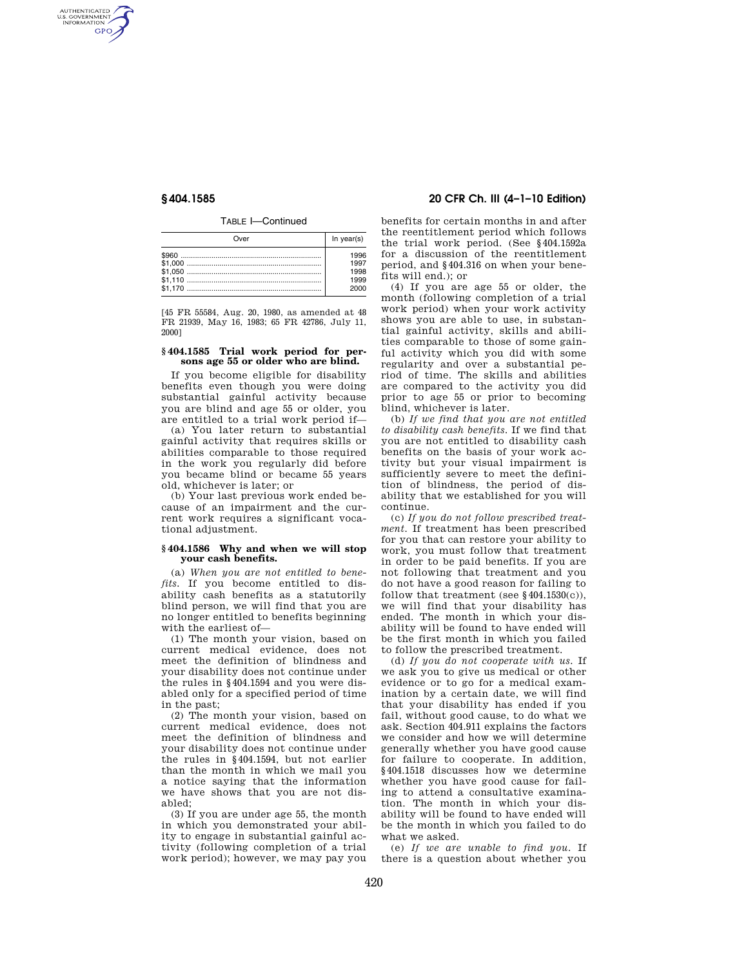AUTHENTICATED<br>U.S. GOVERNMENT<br>INFORMATION **GPO** 

TABLE I—Continued

| Over | In $year(s)$ |
|------|--------------|
|      | 1996         |
|      | 1997         |
|      | 1998         |
|      | 1999         |
|      | 2000         |

[45 FR 55584, Aug. 20, 1980, as amended at 48 FR 21939, May 16, 1983; 65 FR 42786, July 11, 2000]

# **§ 404.1585 Trial work period for persons age 55 or older who are blind.**

If you become eligible for disability benefits even though you were doing substantial gainful activity because you are blind and age 55 or older, you are entitled to a trial work period if—

(a) You later return to substantial gainful activity that requires skills or abilities comparable to those required in the work you regularly did before you became blind or became 55 years old, whichever is later; or

(b) Your last previous work ended because of an impairment and the current work requires a significant vocational adjustment.

### **§ 404.1586 Why and when we will stop your cash benefits.**

(a) *When you are not entitled to benefits.* If you become entitled to disability cash benefits as a statutorily blind person, we will find that you are no longer entitled to benefits beginning with the earliest of—

(1) The month your vision, based on current medical evidence, does not meet the definition of blindness and your disability does not continue under the rules in §404.1594 and you were disabled only for a specified period of time in the past;

(2) The month your vision, based on current medical evidence, does not meet the definition of blindness and your disability does not continue under the rules in §404.1594, but not earlier than the month in which we mail you a notice saying that the information we have shows that you are not disabled;

(3) If you are under age 55, the month in which you demonstrated your ability to engage in substantial gainful activity (following completion of a trial work period); however, we may pay you

# **§ 404.1585 20 CFR Ch. III (4–1–10 Edition)**

benefits for certain months in and after the reentitlement period which follows the trial work period. (See §404.1592a for a discussion of the reentitlement period, and §404.316 on when your benefits will end.); or

(4) If you are age 55 or older, the month (following completion of a trial work period) when your work activity shows you are able to use, in substantial gainful activity, skills and abilities comparable to those of some gainful activity which you did with some regularity and over a substantial period of time. The skills and abilities are compared to the activity you did prior to age 55 or prior to becoming blind, whichever is later.

(b) *If we find that you are not entitled to disability cash benefits.* If we find that you are not entitled to disability cash benefits on the basis of your work activity but your visual impairment is sufficiently severe to meet the definition of blindness, the period of disability that we established for you will continue.

(c) *If you do not follow prescribed treatment.* If treatment has been prescribed for you that can restore your ability to work, you must follow that treatment in order to be paid benefits. If you are not following that treatment and you do not have a good reason for failing to follow that treatment (see  $§404.1530(c)$ ), we will find that your disability has ended. The month in which your disability will be found to have ended will be the first month in which you failed to follow the prescribed treatment.

(d) *If you do not cooperate with us.* If we ask you to give us medical or other evidence or to go for a medical examination by a certain date, we will find that your disability has ended if you fail, without good cause, to do what we ask. Section 404.911 explains the factors we consider and how we will determine generally whether you have good cause for failure to cooperate. In addition, §404.1518 discusses how we determine whether you have good cause for failing to attend a consultative examination. The month in which your disability will be found to have ended will be the month in which you failed to do what we asked.

(e) *If we are unable to find you.* If there is a question about whether you